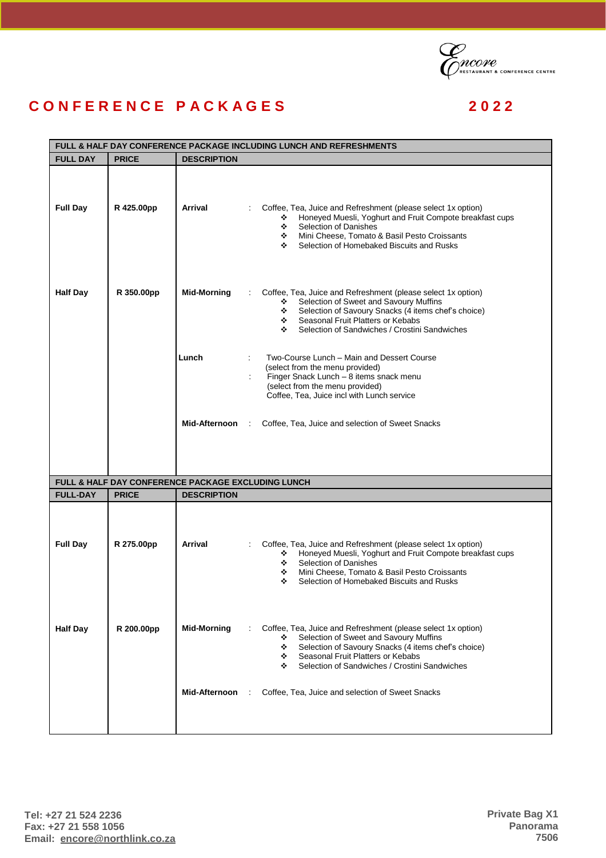

## **C O N F E R E N C E P A C K A G E S 2 0 2 2**

| FULL & HALF DAY CONFERENCE PACKAGE INCLUDING LUNCH AND REFRESHMENTS |              |                                                    |                                                                                                                                                                                                                                                                             |  |  |
|---------------------------------------------------------------------|--------------|----------------------------------------------------|-----------------------------------------------------------------------------------------------------------------------------------------------------------------------------------------------------------------------------------------------------------------------------|--|--|
| <b>FULL DAY</b>                                                     | <b>PRICE</b> | <b>DESCRIPTION</b>                                 |                                                                                                                                                                                                                                                                             |  |  |
| <b>Full Day</b>                                                     | R 425.00pp   | Arrival                                            | Coffee, Tea, Juice and Refreshment (please select 1x option)<br>Honeyed Muesli, Yoghurt and Fruit Compote breakfast cups<br>❖<br>Selection of Danishes<br>❖<br>Mini Cheese, Tomato & Basil Pesto Croissants<br>÷<br>Selection of Homebaked Biscuits and Rusks<br>❖          |  |  |
| <b>Half Day</b>                                                     | R 350.00pp   | <b>Mid-Morning</b>                                 | Coffee, Tea, Juice and Refreshment (please select 1x option)<br>Selection of Sweet and Savoury Muffins<br>❖<br>Selection of Savoury Snacks (4 items chef's choice)<br>※ -<br>Seasonal Fruit Platters or Kebabs<br>※ -<br>Selection of Sandwiches / Crostini Sandwiches<br>÷ |  |  |
|                                                                     |              | Lunch                                              | Two-Course Lunch - Main and Dessert Course<br>÷<br>(select from the menu provided)<br>Finger Snack Lunch - 8 items snack menu<br>(select from the menu provided)<br>Coffee, Tea, Juice incl with Lunch service                                                              |  |  |
|                                                                     |              | Mid-Afternoon :                                    | Coffee, Tea, Juice and selection of Sweet Snacks                                                                                                                                                                                                                            |  |  |
|                                                                     |              | FULL & HALF DAY CONFERENCE PACKAGE EXCLUDING LUNCH |                                                                                                                                                                                                                                                                             |  |  |
| <b>FULL-DAY</b>                                                     | <b>PRICE</b> | <b>DESCRIPTION</b>                                 |                                                                                                                                                                                                                                                                             |  |  |
| <b>Full Day</b>                                                     | R 275.00pp   | Arrival                                            | Coffee, Tea, Juice and Refreshment (please select 1x option)<br>Honeyed Muesli, Yoghurt and Fruit Compote breakfast cups<br>❖<br>Selection of Danishes<br>÷<br>Mini Cheese, Tomato & Basil Pesto Croissants<br>❖<br>Selection of Homebaked Biscuits and Rusks<br>❖          |  |  |
| <b>Half Day</b>                                                     | R 200.00pp   | <b>Mid-Morning</b>                                 | Coffee, Tea, Juice and Refreshment (please select 1x option)<br>Selection of Sweet and Savoury Muffins<br>❖<br>Selection of Savoury Snacks (4 items chef's choice)<br>❖<br>Seasonal Fruit Platters or Kebabs<br>÷.<br>Selection of Sandwiches / Crostini Sandwiches<br>❖    |  |  |
|                                                                     |              | Mid-Afternoon                                      | Coffee, Tea, Juice and selection of Sweet Snacks                                                                                                                                                                                                                            |  |  |